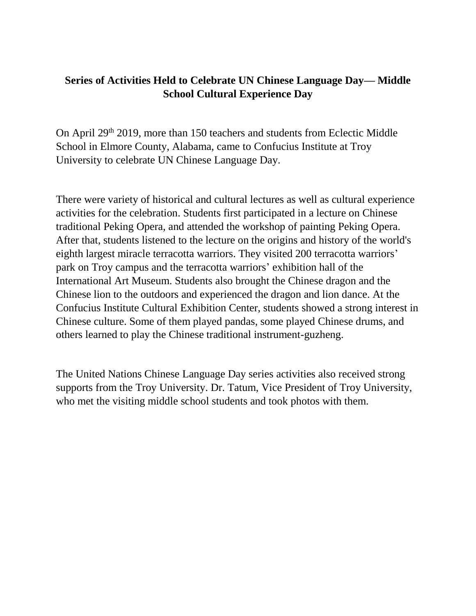## **Series of Activities Held to Celebrate UN Chinese Language Day— Middle School Cultural Experience Day**

On April 29<sup>th</sup> 2019, more than 150 teachers and students from Eclectic Middle School in Elmore County, Alabama, came to Confucius Institute at Troy University to celebrate UN Chinese Language Day.

There were variety of historical and cultural lectures as well as cultural experience activities for the celebration. Students first participated in a lecture on Chinese traditional Peking Opera, and attended the workshop of painting Peking Opera. After that, students listened to the lecture on the origins and history of the world's eighth largest miracle terracotta warriors. They visited 200 terracotta warriors' park on Troy campus and the terracotta warriors' exhibition hall of the International Art Museum. Students also brought the Chinese dragon and the Chinese lion to the outdoors and experienced the dragon and lion dance. At the Confucius Institute Cultural Exhibition Center, students showed a strong interest in Chinese culture. Some of them played pandas, some played Chinese drums, and others learned to play the Chinese traditional instrument-guzheng.

The United Nations Chinese Language Day series activities also received strong supports from the Troy University. Dr. Tatum, Vice President of Troy University, who met the visiting middle school students and took photos with them.